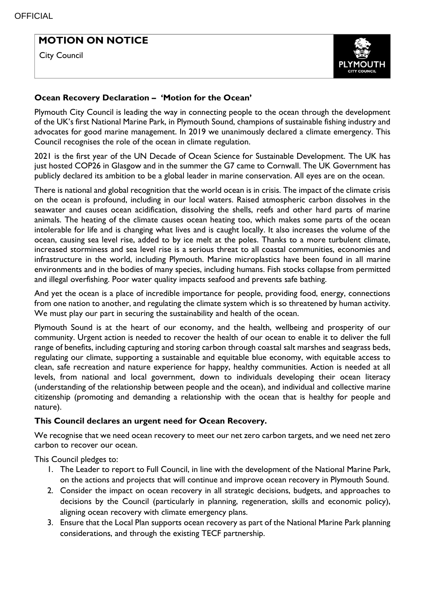I

# **MOTION ON NOTICE**

City Council



### **Ocean Recovery Declaration – 'Motion for the Ocean'**

Plymouth City Council is leading the way in connecting people to the ocean through the development of the UK's first National Marine Park, in Plymouth Sound, champions of sustainable fishing industry and advocates for good marine management. In 2019 we unanimously declared a climate emergency. This Council recognises the role of the ocean in climate regulation.

2021 is the first year of the UN Decade of Ocean Science for Sustainable Development. The UK has just hosted COP26 in Glasgow and in the summer the G7 came to Cornwall. The UK Government has publicly declared its ambition to be a global leader in marine conservation. All eyes are on the ocean.

There is national and global recognition that the world ocean is in crisis. The impact of the climate crisis on the ocean is profound, including in our local waters. Raised atmospheric carbon dissolves in the seawater and causes ocean acidification, dissolving the shells, reefs and other hard parts of marine animals. The heating of the climate causes ocean heating too, which makes some parts of the ocean intolerable for life and is changing what lives and is caught locally. It also increases the volume of the ocean, causing sea level rise, added to by ice melt at the poles. Thanks to a more turbulent climate, increased storminess and sea level rise is a serious threat to all coastal communities, economies and infrastructure in the world, including Plymouth. Marine microplastics have been found in all marine environments and in the bodies of many species, including humans. Fish stocks collapse from permitted and illegal overfishing. Poor water quality impacts seafood and prevents safe bathing.

And yet the ocean is a place of incredible importance for people, providing food, energy, connections from one nation to another, and regulating the climate system which is so threatened by human activity. We must play our part in securing the sustainability and health of the ocean.

Plymouth Sound is at the heart of our economy, and the health, wellbeing and prosperity of our community. Urgent action is needed to recover the health of our ocean to enable it to deliver the full range of benefits, including capturing and storing carbon through coastal salt marshes and seagrass beds, regulating our climate, supporting a sustainable and equitable blue economy, with equitable access to clean, safe recreation and nature experience for happy, healthy communities. Action is needed at all levels, from national and local government, down to individuals developing their ocean literacy (understanding of the relationship between people and the ocean), and individual and collective marine citizenship (promoting and demanding a relationship with the ocean that is healthy for people and nature).

### **This Council declares an urgent need for Ocean Recovery.**

We recognise that we need ocean recovery to meet our net zero carbon targets, and we need net zero carbon to recover our ocean.

This Council pledges to:

- 1. The Leader to report to Full Council, in line with the development of the National Marine Park, on the actions and projects that will continue and improve ocean recovery in Plymouth Sound.
- 2. Consider the impact on ocean recovery in all strategic decisions, budgets, and approaches to decisions by the Council (particularly in planning, regeneration, skills and economic policy), aligning ocean recovery with climate emergency plans.
- 3. Ensure that the Local Plan supports ocean recovery as part of the National Marine Park planning considerations, and through the existing TECF partnership.